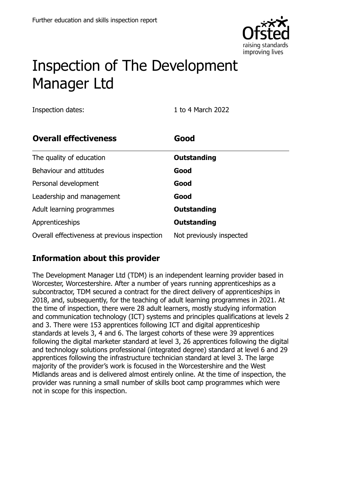

# Inspection of The Development Manager Ltd

Inspection dates: 1 to 4 March 2022

| <b>Overall effectiveness</b>                 | Good                     |
|----------------------------------------------|--------------------------|
| The quality of education                     | Outstanding              |
| Behaviour and attitudes                      | Good                     |
| Personal development                         | Good                     |
| Leadership and management                    | Good                     |
| Adult learning programmes                    | Outstanding              |
| Apprenticeships                              | Outstanding              |
| Overall effectiveness at previous inspection | Not previously inspected |

### **Information about this provider**

The Development Manager Ltd (TDM) is an independent learning provider based in Worcester, Worcestershire. After a number of years running apprenticeships as a subcontractor, TDM secured a contract for the direct delivery of apprenticeships in 2018, and, subsequently, for the teaching of adult learning programmes in 2021. At the time of inspection, there were 28 adult learners, mostly studying information and communication technology (ICT) systems and principles qualifications at levels 2 and 3. There were 153 apprentices following ICT and digital apprenticeship standards at levels 3, 4 and 6. The largest cohorts of these were 39 apprentices following the digital marketer standard at level 3, 26 apprentices following the digital and technology solutions professional (integrated degree) standard at level 6 and 29 apprentices following the infrastructure technician standard at level 3. The large majority of the provider's work is focused in the Worcestershire and the West Midlands areas and is delivered almost entirely online. At the time of inspection, the provider was running a small number of skills boot camp programmes which were not in scope for this inspection.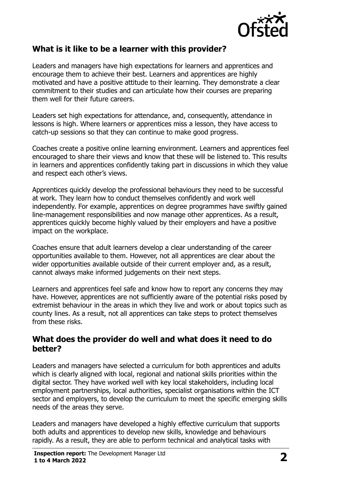

#### **What is it like to be a learner with this provider?**

Leaders and managers have high expectations for learners and apprentices and encourage them to achieve their best. Learners and apprentices are highly motivated and have a positive attitude to their learning. They demonstrate a clear commitment to their studies and can articulate how their courses are preparing them well for their future careers.

Leaders set high expectations for attendance, and, consequently, attendance in lessons is high. Where learners or apprentices miss a lesson, they have access to catch-up sessions so that they can continue to make good progress.

Coaches create a positive online learning environment. Learners and apprentices feel encouraged to share their views and know that these will be listened to. This results in learners and apprentices confidently taking part in discussions in which they value and respect each other's views.

Apprentices quickly develop the professional behaviours they need to be successful at work. They learn how to conduct themselves confidently and work well independently. For example, apprentices on degree programmes have swiftly gained line-management responsibilities and now manage other apprentices. As a result, apprentices quickly become highly valued by their employers and have a positive impact on the workplace.

Coaches ensure that adult learners develop a clear understanding of the career opportunities available to them. However, not all apprentices are clear about the wider opportunities available outside of their current employer and, as a result, cannot always make informed judgements on their next steps.

Learners and apprentices feel safe and know how to report any concerns they may have. However, apprentices are not sufficiently aware of the potential risks posed by extremist behaviour in the areas in which they live and work or about topics such as county lines. As a result, not all apprentices can take steps to protect themselves from these risks.

#### **What does the provider do well and what does it need to do better?**

Leaders and managers have selected a curriculum for both apprentices and adults which is clearly aligned with local, regional and national skills priorities within the digital sector. They have worked well with key local stakeholders, including local employment partnerships, local authorities, specialist organisations within the ICT sector and employers, to develop the curriculum to meet the specific emerging skills needs of the areas they serve.

Leaders and managers have developed a highly effective curriculum that supports both adults and apprentices to develop new skills, knowledge and behaviours rapidly. As a result, they are able to perform technical and analytical tasks with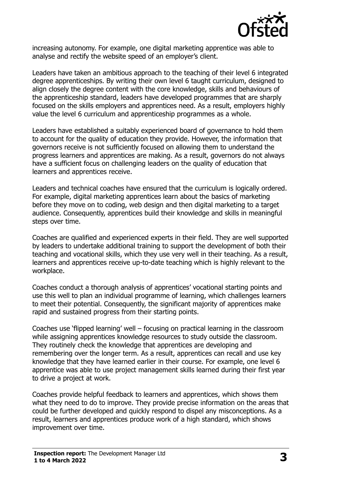

increasing autonomy. For example, one digital marketing apprentice was able to analyse and rectify the website speed of an employer's client.

Leaders have taken an ambitious approach to the teaching of their level 6 integrated degree apprenticeships. By writing their own level 6 taught curriculum, designed to align closely the degree content with the core knowledge, skills and behaviours of the apprenticeship standard, leaders have developed programmes that are sharply focused on the skills employers and apprentices need. As a result, employers highly value the level 6 curriculum and apprenticeship programmes as a whole.

Leaders have established a suitably experienced board of governance to hold them to account for the quality of education they provide. However, the information that governors receive is not sufficiently focused on allowing them to understand the progress learners and apprentices are making. As a result, governors do not always have a sufficient focus on challenging leaders on the quality of education that learners and apprentices receive.

Leaders and technical coaches have ensured that the curriculum is logically ordered. For example, digital marketing apprentices learn about the basics of marketing before they move on to coding, web design and then digital marketing to a target audience. Consequently, apprentices build their knowledge and skills in meaningful steps over time.

Coaches are qualified and experienced experts in their field. They are well supported by leaders to undertake additional training to support the development of both their teaching and vocational skills, which they use very well in their teaching. As a result, learners and apprentices receive up-to-date teaching which is highly relevant to the workplace.

Coaches conduct a thorough analysis of apprentices' vocational starting points and use this well to plan an individual programme of learning, which challenges learners to meet their potential. Consequently, the significant majority of apprentices make rapid and sustained progress from their starting points.

Coaches use 'flipped learning' well – focusing on practical learning in the classroom while assigning apprentices knowledge resources to study outside the classroom. They routinely check the knowledge that apprentices are developing and remembering over the longer term. As a result, apprentices can recall and use key knowledge that they have learned earlier in their course. For example, one level 6 apprentice was able to use project management skills learned during their first year to drive a project at work.

Coaches provide helpful feedback to learners and apprentices, which shows them what they need to do to improve. They provide precise information on the areas that could be further developed and quickly respond to dispel any misconceptions. As a result, learners and apprentices produce work of a high standard, which shows improvement over time.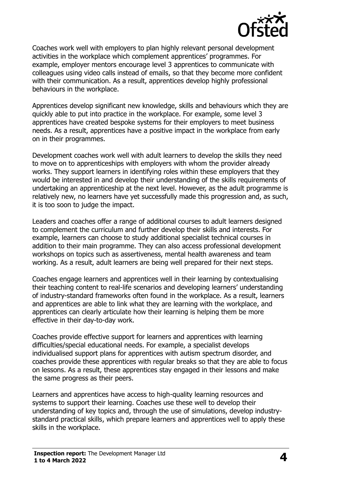

Coaches work well with employers to plan highly relevant personal development activities in the workplace which complement apprentices' programmes. For example, employer mentors encourage level 3 apprentices to communicate with colleagues using video calls instead of emails, so that they become more confident with their communication. As a result, apprentices develop highly professional behaviours in the workplace.

Apprentices develop significant new knowledge, skills and behaviours which they are quickly able to put into practice in the workplace. For example, some level 3 apprentices have created bespoke systems for their employers to meet business needs. As a result, apprentices have a positive impact in the workplace from early on in their programmes.

Development coaches work well with adult learners to develop the skills they need to move on to apprenticeships with employers with whom the provider already works. They support learners in identifying roles within these employers that they would be interested in and develop their understanding of the skills requirements of undertaking an apprenticeship at the next level. However, as the adult programme is relatively new, no learners have yet successfully made this progression and, as such, it is too soon to judge the impact.

Leaders and coaches offer a range of additional courses to adult learners designed to complement the curriculum and further develop their skills and interests. For example, learners can choose to study additional specialist technical courses in addition to their main programme. They can also access professional development workshops on topics such as assertiveness, mental health awareness and team working. As a result, adult learners are being well prepared for their next steps.

Coaches engage learners and apprentices well in their learning by contextualising their teaching content to real-life scenarios and developing learners' understanding of industry-standard frameworks often found in the workplace. As a result, learners and apprentices are able to link what they are learning with the workplace, and apprentices can clearly articulate how their learning is helping them be more effective in their day-to-day work.

Coaches provide effective support for learners and apprentices with learning difficulties/special educational needs. For example, a specialist develops individualised support plans for apprentices with autism spectrum disorder, and coaches provide these apprentices with regular breaks so that they are able to focus on lessons. As a result, these apprentices stay engaged in their lessons and make the same progress as their peers.

Learners and apprentices have access to high-quality learning resources and systems to support their learning. Coaches use these well to develop their understanding of key topics and, through the use of simulations, develop industrystandard practical skills, which prepare learners and apprentices well to apply these skills in the workplace.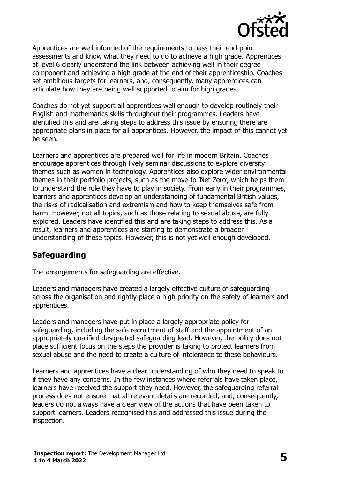

Apprentices are well informed of the requirements to pass their end-point assessments and know what they need to do to achieve a high grade. Apprentices at level 6 clearly understand the link between achieving well in their degree component and achieving a high grade at the end of their apprenticeship. Coaches set ambitious targets for learners, and, consequently, many apprentices can articulate how they are being well supported to aim for high grades.

Coaches do not yet support all apprentices well enough to develop routinely their English and mathematics skills throughout their programmes. Leaders have identified this and are taking steps to address this issue by ensuring there are appropriate plans in place for all apprentices. However, the impact of this cannot yet be seen.

Learners and apprentices are prepared well for life in modern Britain. Coaches encourage apprentices through lively seminar discussions to explore diversity themes such as women in technology. Apprentices also explore wider environmental themes in their portfolio projects, such as the move to 'Net Zero', which helps them to understand the role they have to play in society. From early in their programmes, learners and apprentices develop an understanding of fundamental British values, the risks of radicalisation and extremism and how to keep themselves safe from harm. However, not all topics, such as those relating to sexual abuse, are fully explored. Leaders have identified this and are taking steps to address this. As a result, learners and apprentices are starting to demonstrate a broader understanding of these topics. However, this is not yet well enough developed.

#### **Safeguarding**

The arrangements for safeguarding are effective.

Leaders and managers have created a largely effective culture of safeguarding across the organisation and rightly place a high priority on the safety of learners and apprentices.

Leaders and managers have put in place a largely appropriate policy for safeguarding, including the safe recruitment of staff and the appointment of an appropriately qualified designated safeguarding lead. However, the policy does not place sufficient focus on the steps the provider is taking to protect learners from sexual abuse and the need to create a culture of intolerance to these behaviours.

Learners and apprentices have a clear understanding of who they need to speak to if they have any concerns. In the few instances where referrals have taken place, learners have received the support they need. However, the safeguarding referral process does not ensure that all relevant details are recorded, and, consequently, leaders do not always have a clear view of the actions that have been taken to support learners. Leaders recognised this and addressed this issue during the inspection.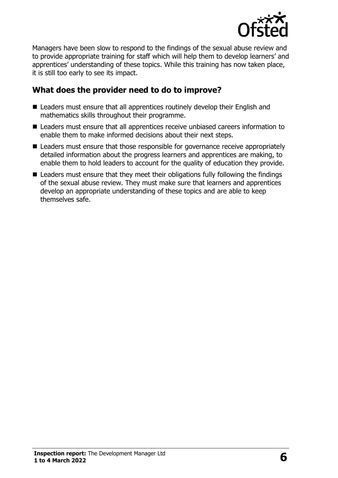

Managers have been slow to respond to the findings of the sexual abuse review and to provide appropriate training for staff which will help them to develop learners' and apprentices' understanding of these topics. While this training has now taken place, it is still too early to see its impact.

#### **What does the provider need to do to improve?**

- Leaders must ensure that all apprentices routinely develop their English and mathematics skills throughout their programme.
- Leaders must ensure that all apprentices receive unbiased careers information to enable them to make informed decisions about their next steps.
- Leaders must ensure that those responsible for governance receive appropriately detailed information about the progress learners and apprentices are making, to enable them to hold leaders to account for the quality of education they provide.
- Leaders must ensure that they meet their obligations fully following the findings of the sexual abuse review. They must make sure that learners and apprentices develop an appropriate understanding of these topics and are able to keep themselves safe.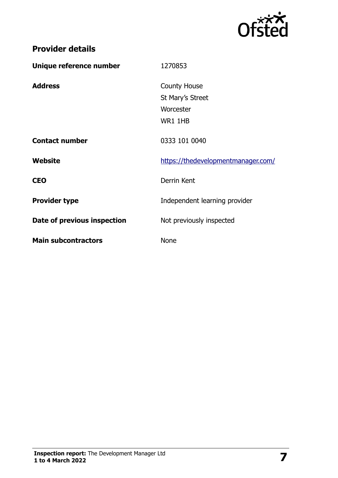

## **Provider details**

| Unique reference number     | 1270853                                                         |
|-----------------------------|-----------------------------------------------------------------|
| <b>Address</b>              | <b>County House</b><br>St Mary's Street<br>Worcester<br>WR1 1HB |
| <b>Contact number</b>       | 0333 101 0040                                                   |
| Website                     | https://thedevelopmentmanager.com/                              |
| <b>CEO</b>                  | Derrin Kent                                                     |
| <b>Provider type</b>        | Independent learning provider                                   |
| Date of previous inspection | Not previously inspected                                        |
| <b>Main subcontractors</b>  | <b>None</b>                                                     |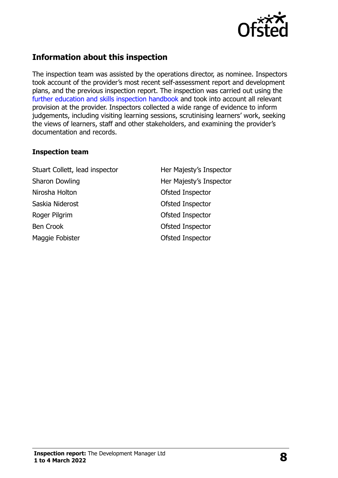

#### **Information about this inspection**

The inspection team was assisted by the operations director, as nominee. Inspectors took account of the provider's most recent self-assessment report and development plans, and the previous inspection report. The inspection was carried out using the further education and skills inspection handbook and took into account all relevant provision at the provider. Inspectors collected a wide range of evidence to inform judgements, including visiting learning sessions, scrutinising learners' work, seeking the views of learners, staff and other stakeholders, and examining the provider's documentation and records.

#### **Inspection team**

Stuart Collett, lead inspector **Her Majesty's Inspector** Sharon Dowling **Her Majesty's Inspector** Nirosha Holton **Ofsted Inspector** Saskia Niderost **Case Contract Contract Contract Contract Contract Contract Contract Contract Contract Contract Contract Contract Contract Contract Contract Contract Contract Contract Contract Contract Contract Contract Co** Roger Pilgrim **Contact Contact Pilgrim** Contact Ofsted Inspector Ben Crook **Details** Ofsted Inspector Maggie Fobister **Calculation** Ofsted Inspector